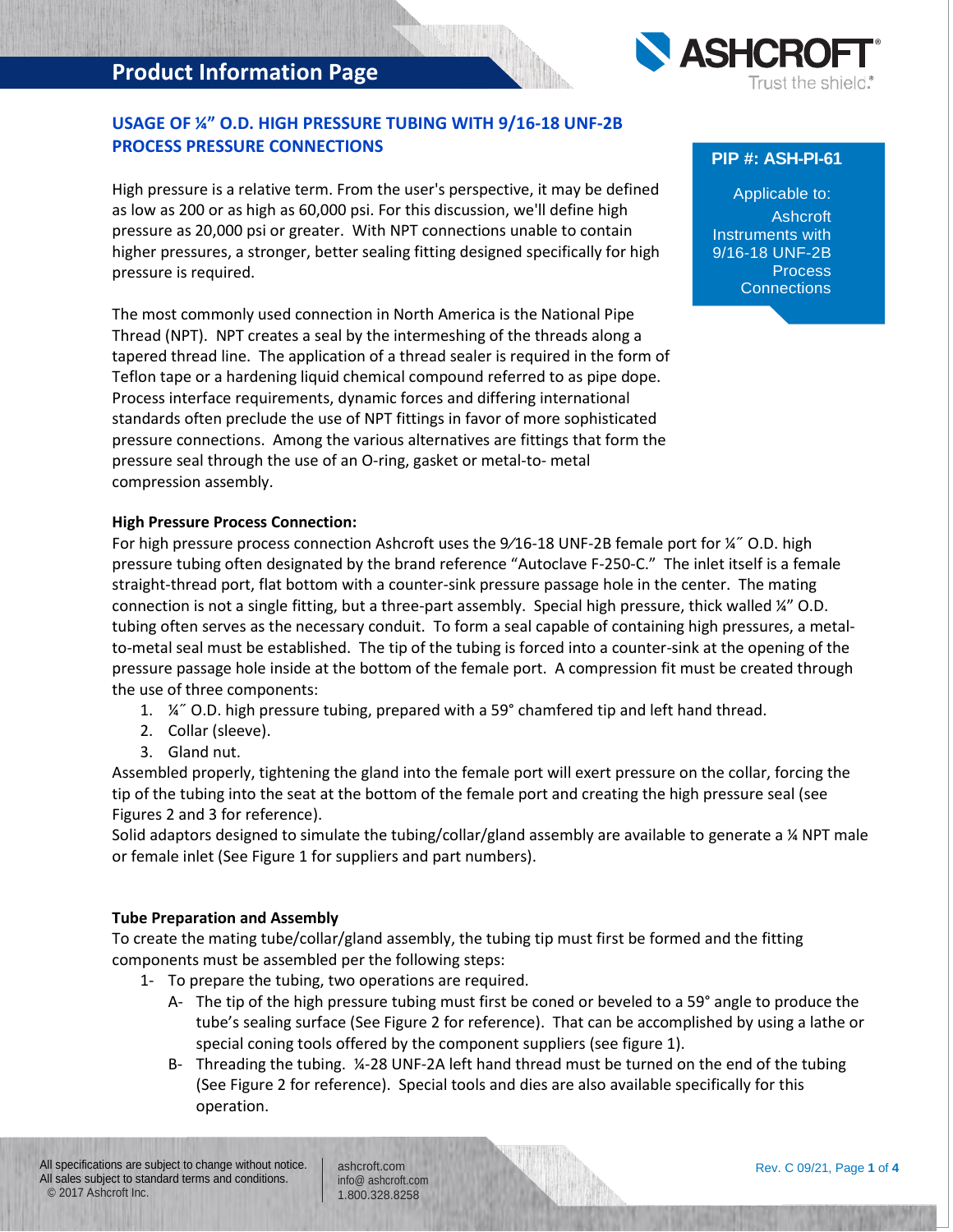# **Product Information Page**



### **USAGE OF ¼" O.D. HIGH PRESSURE TUBING WITH 9/16-18 UNF-2B PROCESS PRESSURE CONNECTIONS**

High pressure is a relative term. From the user's perspective, it may be defined as low as 200 or as high as 60,000 psi. For this discussion, we'll define high pressure as 20,000 psi or greater. With NPT connections unable to contain higher pressures, a stronger, better sealing fitting designed specifically for high pressure is required.

The most commonly used connection in North America is the National Pipe Thread (NPT). NPT creates a seal by the intermeshing of the threads along a tapered thread line. The application of a thread sealer is required in the form of Teflon tape or a hardening liquid chemical compound referred to as pipe dope. Process interface requirements, dynamic forces and differing international standards often preclude the use of NPT fittings in favor of more sophisticated pressure connections. Among the various alternatives are fittings that form the pressure seal through the use of an O-ring, gasket or metal-to- metal compression assembly.

### **High Pressure Process Connection:**

For high pressure process connection Ashcroft uses the 9/16-18 UNF-2B female port for ¼" O.D. high pressure tubing often designated by the brand reference "Autoclave F-250-C." The inlet itself is a female straight-thread port, flat bottom with a counter-sink pressure passage hole in the center. The mating connection is not a single fitting, but a three-part assembly. Special high pressure, thick walled ¼" O.D. tubing often serves as the necessary conduit. To form a seal capable of containing high pressures, a metalto-metal seal must be established. The tip of the tubing is forced into a counter-sink at the opening of the pressure passage hole inside at the bottom of the female port. A compression fit must be created through the use of three components:

- 1. ¼˝ O.D. high pressure tubing, prepared with a 59° chamfered tip and left hand thread.
- 2. Collar (sleeve).
- 3. Gland nut.

Assembled properly, tightening the gland into the female port will exert pressure on the collar, forcing the tip of the tubing into the seat at the bottom of the female port and creating the high pressure seal (see Figures 2 and 3 for reference).

Solid adaptors designed to simulate the tubing/collar/gland assembly are available to generate a ¼ NPT male or female inlet (See Figure 1 for suppliers and part numbers).

#### **Tube Preparation and Assembly**

To create the mating tube/collar/gland assembly, the tubing tip must first be formed and the fitting components must be assembled per the following steps:

- 1- To prepare the tubing, two operations are required.
	- A- The tip of the high pressure tubing must first be coned or beveled to a 59° angle to produce the tube's sealing surface (See Figure 2 for reference). That can be accomplished by using a lathe or special coning tools offered by the component suppliers (see figure 1).
	- B- Threading the tubing. ¼-28 UNF-2A left hand thread must be turned on the end of the tubing (See Figure 2 for reference). Special tools and dies are also available specifically for this operation.

## **PIP #: ASH-PI-61**

Applicable to: Ashcroft Instruments with 9/16-18 UNF-2B Process **Connections**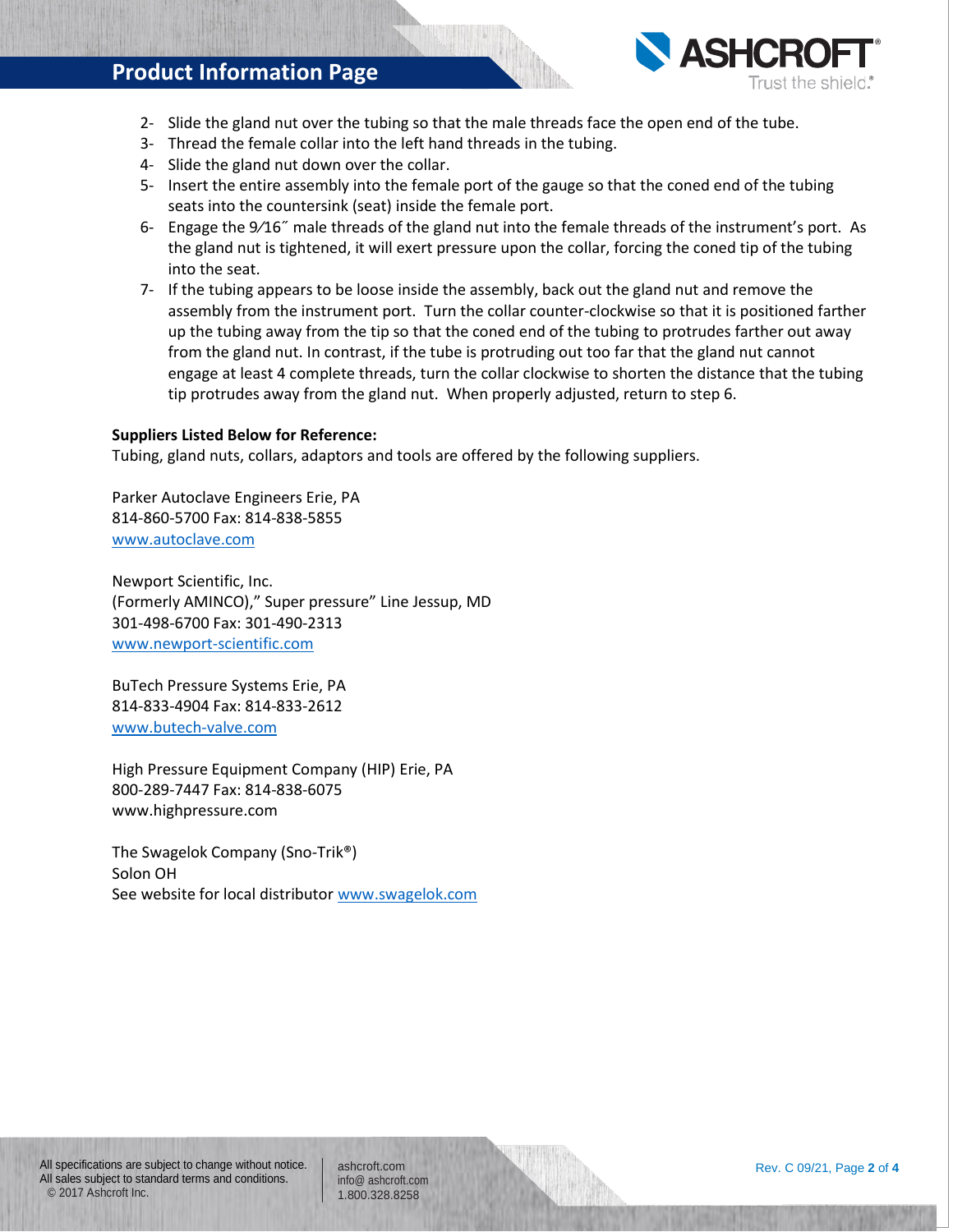## **Product Information Page**



- 2- Slide the gland nut over the tubing so that the male threads face the open end of the tube.
- 3- Thread the female collar into the left hand threads in the tubing.
- 4- Slide the gland nut down over the collar.
- 5- Insert the entire assembly into the female port of the gauge so that the coned end of the tubing seats into the countersink (seat) inside the female port.
- 6- Engage the 9⁄16˝ male threads of the gland nut into the female threads of the instrument's port. As the gland nut is tightened, it will exert pressure upon the collar, forcing the coned tip of the tubing into the seat.
- 7- If the tubing appears to be loose inside the assembly, back out the gland nut and remove the assembly from the instrument port. Turn the collar counter-clockwise so that it is positioned farther up the tubing away from the tip so that the coned end of the tubing to protrudes farther out away from the gland nut. In contrast, if the tube is protruding out too far that the gland nut cannot engage at least 4 complete threads, turn the collar clockwise to shorten the distance that the tubing tip protrudes away from the gland nut. When properly adjusted, return to step 6.

#### **Suppliers Listed Below for Reference:**

Tubing, gland nuts, collars, adaptors and tools are offered by the following suppliers.

Parker Autoclave Engineers Erie, PA 814-860-5700 Fax: 814-838-5855 [www.autoclave.com](http://www.autoclave.com/)

Newport Scientific, Inc. (Formerly AMINCO)," Super pressure" Line Jessup, MD 301-498-6700 Fax: 301-490-2313 [www.newport-scientific.com](http://www.newport-scientific.com/)

BuTech Pressure Systems Erie, PA 814-833-4904 Fax: 814-833-2612 [www.butech-valve.com](http://www.butech-valve.com/)

High Pressure Equipment Company (HIP) Erie, PA 800-289-7447 Fax: 814-838-6075 www.highpressure.com

The Swagelok Company (Sno-Trik®) Solon OH See website for local distributor [www.swagelok.com](http://www.swagelok.com/)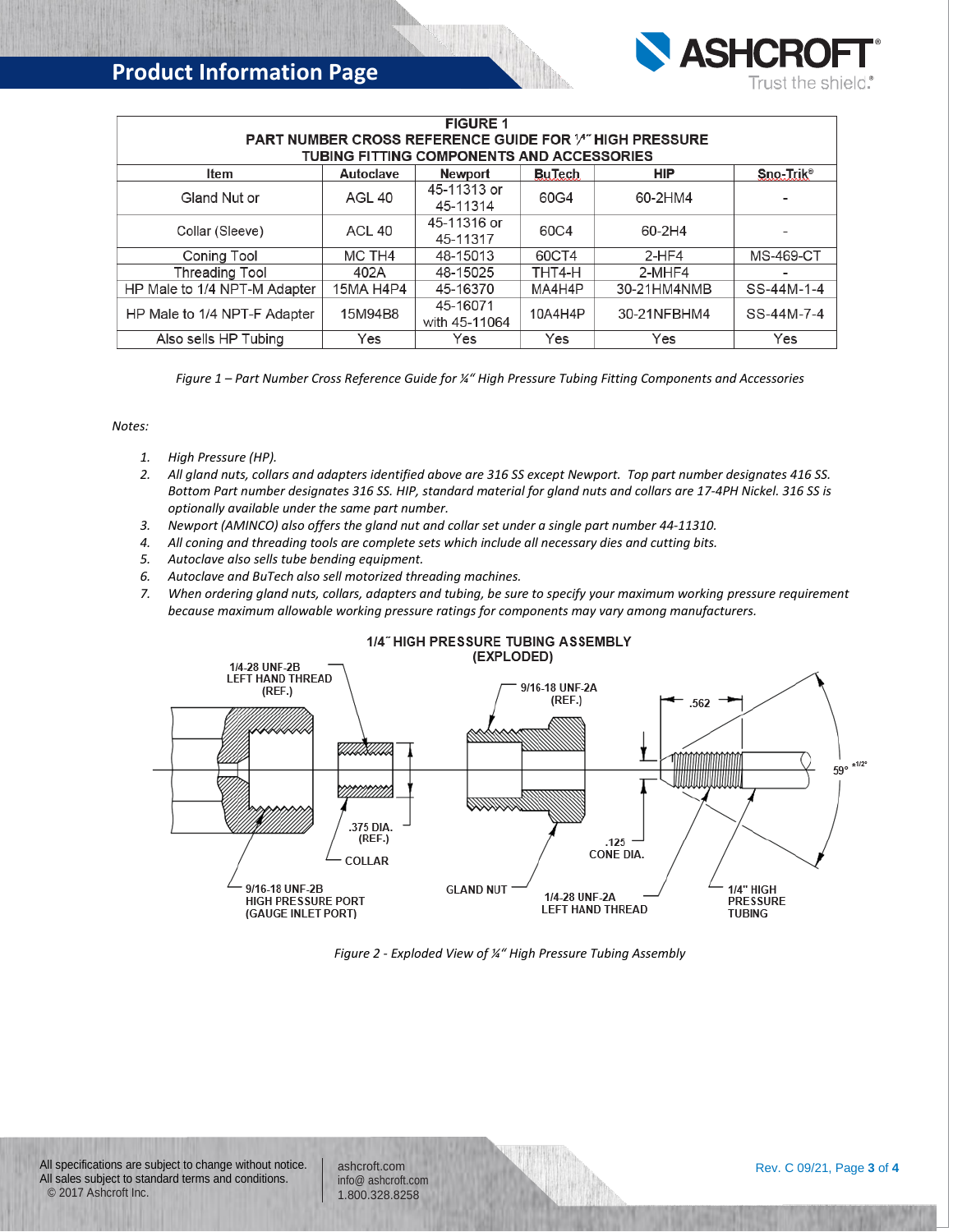

| <b>FIGURE 1</b>                                                |           |               |               |             |                          |  |  |
|----------------------------------------------------------------|-----------|---------------|---------------|-------------|--------------------------|--|--|
| <b>PART NUMBER CROSS REFERENCE GUIDE FOR 14" HIGH PRESSURE</b> |           |               |               |             |                          |  |  |
| <b>TUBING FITTING COMPONENTS AND ACCESSORIES</b>               |           |               |               |             |                          |  |  |
| <b>Item</b>                                                    | Autoclave | Newport       | <b>BuTech</b> | <b>HIP</b>  | Sno-Trik <sup>®</sup>    |  |  |
| Gland Nut or                                                   | AGL 40    | 45-11313 or   | 60G4          | 60-2HM4     |                          |  |  |
|                                                                |           | 45-11314      |               |             |                          |  |  |
| Collar (Sleeve)                                                | ACL 40    | 45-11316 or   | 60C4          | 60-2H4      |                          |  |  |
|                                                                |           | 45-11317      |               |             |                          |  |  |
| Coning Tool                                                    | MC TH4    | 48-15013      | 60CT4         | $2-HF4$     | <b>MS-469-CT</b>         |  |  |
| <b>Threading Tool</b>                                          | 402A      | 48-15025      | THT4-H        | 2-MHF4      | $\overline{\phantom{0}}$ |  |  |
| HP Male to 1/4 NPT-M Adapter                                   | 15MA H4P4 | 45-16370      | MA4H4P        | 30-21HM4NMB | SS-44M-1-4               |  |  |
| HP Male to 1/4 NPT-F Adapter                                   | 15M94B8   | 45-16071      | 10A4H4P       | 30-21NFBHM4 | SS-44M-7-4               |  |  |
|                                                                |           | with 45-11064 |               |             |                          |  |  |
| Also sells HP Tubing                                           | Yes       | Yes           | Yes           | Yes         | Yes                      |  |  |

*Figure 1 – Part Number Cross Reference Guide for ¼" High Pressure Tubing Fitting Components and Accessories*

*Notes:*

- *1. High Pressure (HP).*
- *2. All gland nuts, collars and adapters identified above are 316 SS except Newport. Top part number designates 416 SS. Bottom Part number designates 316 SS. HIP, standard material for gland nuts and collars are 17-4PH Nickel. 316 SS is optionally available under the same part number.*
- *3. Newport (AMINCO) also offers the gland nut and collar set under a single part number 44-11310.*
- *4. All coning and threading tools are complete sets which include all necessary dies and cutting bits.*
- *5. Autoclave also sells tube bending equipment.*
- *6. Autoclave and BuTech also sell motorized threading machines.*
- *7. When ordering gland nuts, collars, adapters and tubing, be sure to specify your maximum working pressure requirement because maximum allowable working pressure ratings for components may vary among manufacturers.*



*Figure 2 - Exploded View of ¼" High Pressure Tubing Assembly*

All specifications are subject to change without notice. All sales subject to standard terms and conditions. © 2017 Ashcroft Inc.

ashcroft.com [info@ ashcroft.com](mailto:info@ashcroft.com) 1.800.328.8258